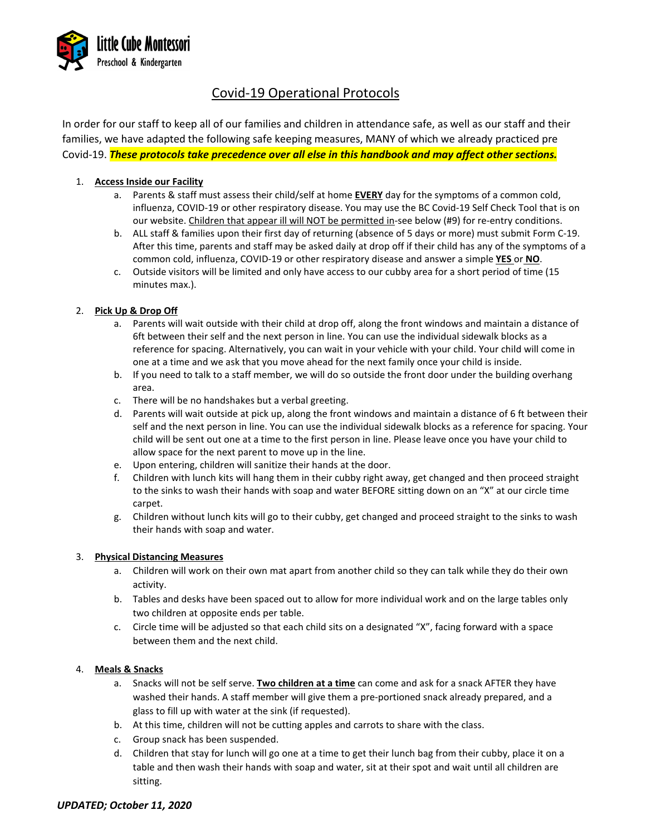

# Covid-19 Operational Protocols

In order for our staff to keep all of our families and children in attendance safe, as well as our staff and their families, we have adapted the following safe keeping measures, MANY of which we already practiced pre Covid-19. *These protocols take precedence over all else in this handbook and may affect other sections.*

# 1. **Access Inside our Facility**

- a. Parents & staff must assess their child/self at home **EVERY** day for the symptoms of a common cold, influenza, COVID-19 or other respiratory disease. You may use the BC Covid-19 Self Check Tool that is on our website. Children that appear ill will NOT be permitted in-see below (#9) for re-entry conditions.
- b. ALL staff & families upon their first day of returning (absence of 5 days or more) must submit Form C-19. After this time, parents and staff may be asked daily at drop off if their child has any of the symptoms of a common cold, influenza, COVID-19 or other respiratory disease and answer a simple **YES** or **NO**.
- c. Outside visitors will be limited and only have access to our cubby area for a short period of time (15 minutes max.).

# 2. **Pick Up & Drop Off**

- a. Parents will wait outside with their child at drop off, along the front windows and maintain a distance of 6ft between their self and the next person in line. You can use the individual sidewalk blocks as a reference for spacing. Alternatively, you can wait in your vehicle with your child. Your child will come in one at a time and we ask that you move ahead for the next family once your child is inside.
- b. If you need to talk to a staff member, we will do so outside the front door under the building overhang area.
- c. There will be no handshakes but a verbal greeting.
- d. Parents will wait outside at pick up, along the front windows and maintain a distance of 6 ft between their self and the next person in line. You can use the individual sidewalk blocks as a reference for spacing. Your child will be sent out one at a time to the first person in line. Please leave once you have your child to allow space for the next parent to move up in the line.
- e. Upon entering, children will sanitize their hands at the door.
- f. Children with lunch kits will hang them in their cubby right away, get changed and then proceed straight to the sinks to wash their hands with soap and water BEFORE sitting down on an "X" at our circle time carpet.
- g. Children without lunch kits will go to their cubby, get changed and proceed straight to the sinks to wash their hands with soap and water.

## 3. **Physical Distancing Measures**

- a. Children will work on their own mat apart from another child so they can talk while they do their own activity.
- b. Tables and desks have been spaced out to allow for more individual work and on the large tables only two children at opposite ends per table.
- c. Circle time will be adjusted so that each child sits on a designated "X", facing forward with a space between them and the next child.

## 4. **Meals & Snacks**

- a. Snacks will not be self serve. **Two children at a time** can come and ask for a snack AFTER they have washed their hands. A staff member will give them a pre-portioned snack already prepared, and a glass to fill up with water at the sink (if requested).
- b. At this time, children will not be cutting apples and carrots to share with the class.
- c. Group snack has been suspended.
- d. Children that stay for lunch will go one at a time to get their lunch bag from their cubby, place it on a table and then wash their hands with soap and water, sit at their spot and wait until all children are sitting.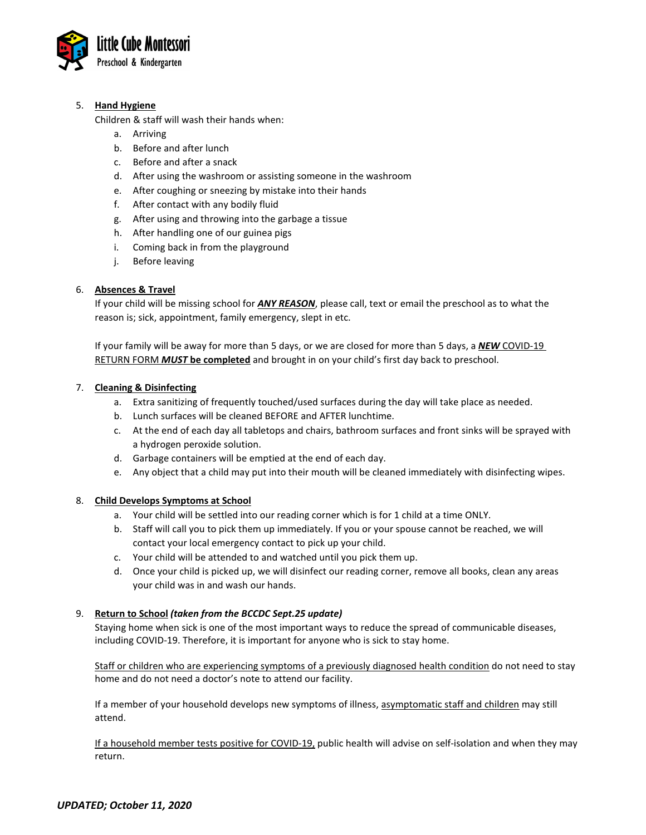

## 5. **Hand Hygiene**

Children & staff will wash their hands when:

- a. Arriving
- b. Before and after lunch
- c. Before and after a snack
- d. After using the washroom or assisting someone in the washroom
- e. After coughing or sneezing by mistake into their hands
- f. After contact with any bodily fluid
- g. After using and throwing into the garbage a tissue
- h. After handling one of our guinea pigs
- i. Coming back in from the playground
- j. Before leaving

#### 6. **Absences & Travel**

If your child will be missing school for *ANY REASON*, please call, text or email the preschool as to what the reason is; sick, appointment, family emergency, slept in etc.

If your family will be away for more than 5 days, or we are closed for more than 5 days, a *NEW* COVID-19 RETURN FORM *MUST* **be completed** and brought in on your child's first day back to preschool.

#### 7. **Cleaning & Disinfecting**

- a. Extra sanitizing of frequently touched/used surfaces during the day will take place as needed.
- b. Lunch surfaces will be cleaned BEFORE and AFTER lunchtime.
- c. At the end of each day all tabletops and chairs, bathroom surfaces and front sinks will be sprayed with a hydrogen peroxide solution.
- d. Garbage containers will be emptied at the end of each day.
- e. Any object that a child may put into their mouth will be cleaned immediately with disinfecting wipes.

## 8. **Child Develops Symptoms at School**

- a. Your child will be settled into our reading corner which is for 1 child at a time ONLY.
- b. Staff will call you to pick them up immediately. If you or your spouse cannot be reached, we will contact your local emergency contact to pick up your child.
- c. Your child will be attended to and watched until you pick them up.
- d. Once your child is picked up, we will disinfect our reading corner, remove all books, clean any areas your child was in and wash our hands.

## 9. **Return to School** *(taken from the BCCDC Sept.25 update)*

Staying home when sick is one of the most important ways to reduce the spread of communicable diseases, including COVID-19. Therefore, it is important for anyone who is sick to stay home.

Staff or children who are experiencing symptoms of a previously diagnosed health condition do not need to stay home and do not need a doctor's note to attend our facility.

If a member of your household develops new symptoms of illness, asymptomatic staff and children may still attend.

If a household member tests positive for COVID-19, public health will advise on self-isolation and when they may return.